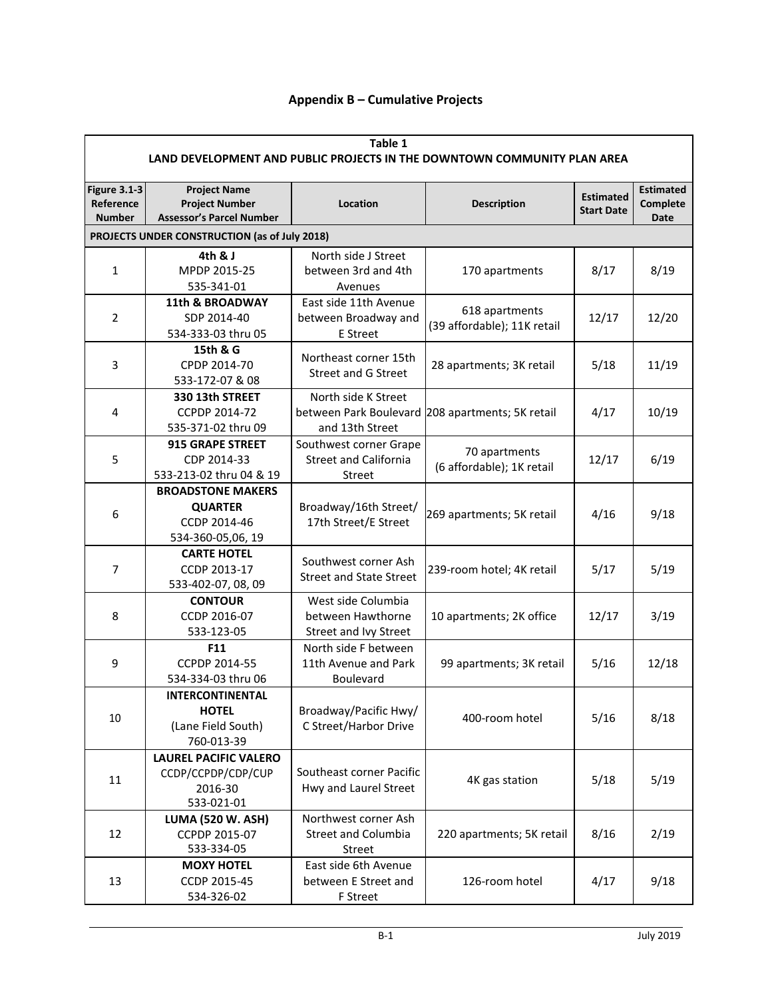## **Appendix B – Cumulative Projects**

| Table 1<br>LAND DEVELOPMENT AND PUBLIC PROJECTS IN THE DOWNTOWN COMMUNITY PLAN AREA |                                                                                 |                                               |                                                  |                                       |                                             |  |  |
|-------------------------------------------------------------------------------------|---------------------------------------------------------------------------------|-----------------------------------------------|--------------------------------------------------|---------------------------------------|---------------------------------------------|--|--|
| <b>Figure 3.1-3</b><br>Reference<br><b>Number</b>                                   | <b>Project Name</b><br><b>Project Number</b><br><b>Assessor's Parcel Number</b> | Location                                      | <b>Description</b>                               | <b>Estimated</b><br><b>Start Date</b> | <b>Estimated</b><br>Complete<br><b>Date</b> |  |  |
| PROJECTS UNDER CONSTRUCTION (as of July 2018)                                       |                                                                                 |                                               |                                                  |                                       |                                             |  |  |
|                                                                                     | 4th & J                                                                         | North side J Street                           |                                                  |                                       |                                             |  |  |
| $\mathbf{1}$                                                                        | MPDP 2015-25                                                                    | between 3rd and 4th                           | 170 apartments                                   | 8/17                                  | 8/19                                        |  |  |
|                                                                                     | 535-341-01                                                                      | Avenues                                       |                                                  |                                       |                                             |  |  |
|                                                                                     | <b>11th &amp; BROADWAY</b>                                                      | East side 11th Avenue                         | 618 apartments                                   |                                       |                                             |  |  |
| $\overline{2}$                                                                      | SDP 2014-40                                                                     | between Broadway and                          | (39 affordable); 11K retail                      | 12/17                                 | 12/20                                       |  |  |
|                                                                                     | 534-333-03 thru 05                                                              | E Street                                      |                                                  |                                       |                                             |  |  |
|                                                                                     | 15th & G                                                                        | Northeast corner 15th                         |                                                  |                                       |                                             |  |  |
| 3                                                                                   | CPDP 2014-70                                                                    | <b>Street and G Street</b>                    | 28 apartments; 3K retail                         | 5/18                                  | 11/19                                       |  |  |
|                                                                                     | 533-172-07 & 08                                                                 |                                               |                                                  |                                       |                                             |  |  |
|                                                                                     | 330 13th STREET                                                                 | North side K Street                           |                                                  |                                       |                                             |  |  |
| 4                                                                                   | CCPDP 2014-72                                                                   |                                               | between Park Boulevard 208 apartments; 5K retail | 4/17                                  | 10/19                                       |  |  |
|                                                                                     | 535-371-02 thru 09                                                              | and 13th Street                               |                                                  |                                       |                                             |  |  |
|                                                                                     | 915 GRAPE STREET                                                                | Southwest corner Grape                        | 70 apartments                                    |                                       |                                             |  |  |
| 5                                                                                   | CDP 2014-33                                                                     | <b>Street and California</b>                  | (6 affordable); 1K retail                        | 12/17                                 | 6/19                                        |  |  |
|                                                                                     | 533-213-02 thru 04 & 19                                                         | Street                                        |                                                  |                                       |                                             |  |  |
|                                                                                     | <b>BROADSTONE MAKERS</b>                                                        |                                               |                                                  |                                       | 9/18                                        |  |  |
| 6                                                                                   | <b>QUARTER</b><br>CCDP 2014-46                                                  | Broadway/16th Street/<br>17th Street/E Street | 269 apartments; 5K retail                        | 4/16                                  |                                             |  |  |
|                                                                                     | 534-360-05,06, 19                                                               |                                               |                                                  |                                       |                                             |  |  |
|                                                                                     | <b>CARTE HOTEL</b>                                                              |                                               |                                                  |                                       |                                             |  |  |
| 7                                                                                   | CCDP 2013-17                                                                    | Southwest corner Ash                          | 239-room hotel; 4K retail                        | 5/17                                  | 5/19                                        |  |  |
|                                                                                     | 533-402-07, 08, 09                                                              | <b>Street and State Street</b>                |                                                  |                                       |                                             |  |  |
|                                                                                     | <b>CONTOUR</b>                                                                  | West side Columbia                            |                                                  |                                       |                                             |  |  |
| 8                                                                                   | CCDP 2016-07                                                                    | between Hawthorne                             | 10 apartments; 2K office                         | 12/17                                 | 3/19                                        |  |  |
|                                                                                     | 533-123-05                                                                      | Street and Ivy Street                         |                                                  |                                       |                                             |  |  |
|                                                                                     | F11                                                                             | North side F between                          |                                                  |                                       |                                             |  |  |
| 9                                                                                   | CCPDP 2014-55                                                                   | 11th Avenue and Park                          | 99 apartments; 3K retail                         | 5/16                                  | 12/18                                       |  |  |
|                                                                                     | 534-334-03 thru 06                                                              | Boulevard                                     |                                                  |                                       |                                             |  |  |
|                                                                                     | <b>INTERCONTINENTAL</b>                                                         |                                               |                                                  |                                       |                                             |  |  |
|                                                                                     | <b>HOTEL</b>                                                                    | Broadway/Pacific Hwy/                         |                                                  | 5/16                                  |                                             |  |  |
| 10                                                                                  | (Lane Field South)                                                              | C Street/Harbor Drive                         | 400-room hotel                                   |                                       | 8/18                                        |  |  |
|                                                                                     | 760-013-39                                                                      |                                               |                                                  |                                       |                                             |  |  |
| 11                                                                                  | <b>LAUREL PACIFIC VALERO</b>                                                    |                                               |                                                  |                                       |                                             |  |  |
|                                                                                     | CCDP/CCPDP/CDP/CUP                                                              | Southeast corner Pacific                      | 4K gas station                                   | 5/18                                  | 5/19                                        |  |  |
|                                                                                     | 2016-30                                                                         | Hwy and Laurel Street                         |                                                  |                                       |                                             |  |  |
|                                                                                     | 533-021-01                                                                      |                                               |                                                  |                                       |                                             |  |  |
|                                                                                     | <b>LUMA (520 W. ASH)</b>                                                        | Northwest corner Ash                          |                                                  |                                       |                                             |  |  |
| 12                                                                                  | CCPDP 2015-07                                                                   | <b>Street and Columbia</b>                    | 220 apartments; 5K retail                        | 8/16                                  | 2/19                                        |  |  |
|                                                                                     | 533-334-05                                                                      | Street                                        |                                                  |                                       |                                             |  |  |
|                                                                                     | <b>MOXY HOTEL</b>                                                               | East side 6th Avenue                          |                                                  |                                       |                                             |  |  |
| 13                                                                                  | CCDP 2015-45                                                                    | between E Street and                          | 126-room hotel<br>4/17                           |                                       | 9/18                                        |  |  |
|                                                                                     | 534-326-02                                                                      | F Street                                      |                                                  |                                       |                                             |  |  |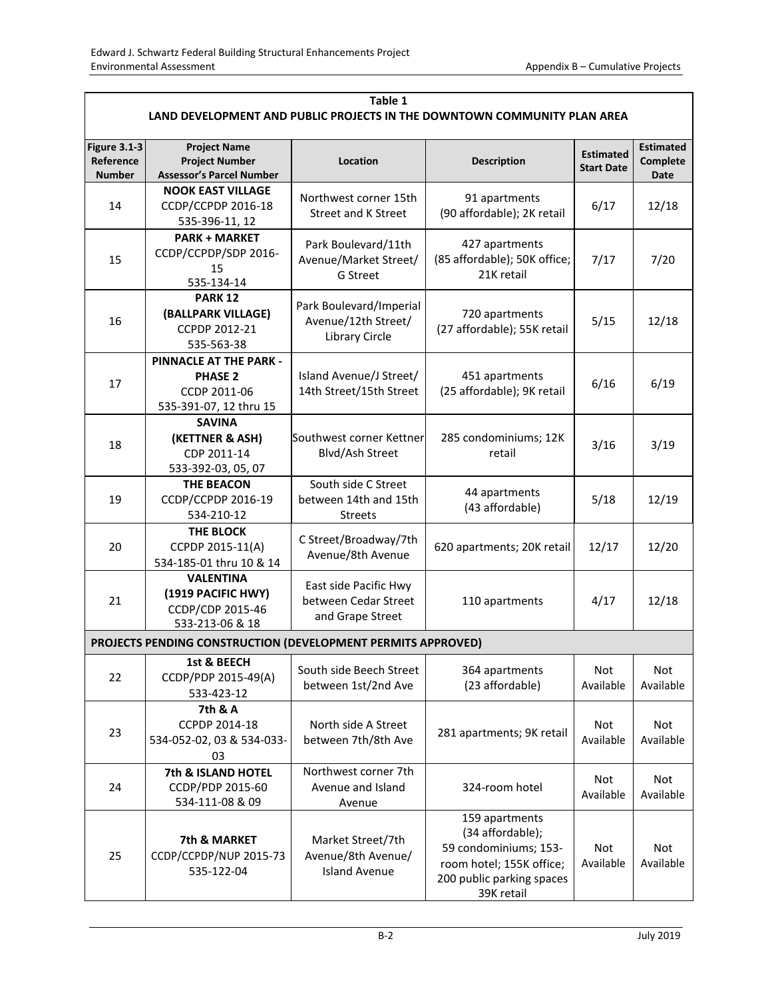| Table 1<br>LAND DEVELOPMENT AND PUBLIC PROJECTS IN THE DOWNTOWN COMMUNITY PLAN AREA |                                                                                           |                                                                   |                                                                                                                                    |                                       |                                             |  |  |  |
|-------------------------------------------------------------------------------------|-------------------------------------------------------------------------------------------|-------------------------------------------------------------------|------------------------------------------------------------------------------------------------------------------------------------|---------------------------------------|---------------------------------------------|--|--|--|
| <b>Figure 3.1-3</b><br>Reference<br><b>Number</b>                                   | <b>Project Name</b><br><b>Project Number</b><br><b>Assessor's Parcel Number</b>           | Location                                                          | <b>Description</b>                                                                                                                 | <b>Estimated</b><br><b>Start Date</b> | <b>Estimated</b><br>Complete<br><b>Date</b> |  |  |  |
| 14                                                                                  | <b>NOOK EAST VILLAGE</b><br>CCDP/CCPDP 2016-18<br>535-396-11, 12                          | Northwest corner 15th<br><b>Street and K Street</b>               | 91 apartments<br>6/17<br>(90 affordable); 2K retail                                                                                |                                       | 12/18                                       |  |  |  |
| 15                                                                                  | <b>PARK + MARKET</b><br>CCDP/CCPDP/SDP 2016-<br>15<br>535-134-14                          | Park Boulevard/11th<br>Avenue/Market Street/<br>G Street          | 427 apartments<br>(85 affordable); 50K office;<br>21K retail                                                                       | 7/17                                  | 7/20                                        |  |  |  |
| 16                                                                                  | <b>PARK 12</b><br>(BALLPARK VILLAGE)<br>CCPDP 2012-21<br>535-563-38                       | Park Boulevard/Imperial<br>Avenue/12th Street/<br>Library Circle  | 720 apartments<br>(27 affordable); 55K retail                                                                                      | 5/15                                  | 12/18                                       |  |  |  |
| 17                                                                                  | <b>PINNACLE AT THE PARK -</b><br><b>PHASE 2</b><br>CCDP 2011-06<br>535-391-07, 12 thru 15 | Island Avenue/J Street/<br>14th Street/15th Street                | 451 apartments<br>(25 affordable); 9K retail                                                                                       | 6/16                                  | 6/19                                        |  |  |  |
| 18                                                                                  | <b>SAVINA</b><br>(KETTNER & ASH)<br>CDP 2011-14<br>533-392-03, 05, 07                     | Southwest corner Kettner<br>Blvd/Ash Street                       | 285 condominiums; 12K<br>retail                                                                                                    | 3/16                                  | 3/19                                        |  |  |  |
| 19                                                                                  | <b>THE BEACON</b><br>CCDP/CCPDP 2016-19<br>534-210-12                                     | South side C Street<br>between 14th and 15th<br><b>Streets</b>    | 44 apartments<br>(43 affordable)                                                                                                   | 5/18                                  | 12/19                                       |  |  |  |
| 20                                                                                  | <b>THE BLOCK</b><br>CCPDP 2015-11(A)<br>534-185-01 thru 10 & 14                           | C Street/Broadway/7th<br>Avenue/8th Avenue                        | 620 apartments; 20K retail                                                                                                         | 12/17                                 | 12/20                                       |  |  |  |
| 21                                                                                  | <b>VALENTINA</b><br>(1919 PACIFIC HWY)<br>CCDP/CDP 2015-46<br>533-213-06 & 18             | East side Pacific Hwy<br>between Cedar Street<br>and Grape Street | 110 apartments                                                                                                                     | 4/17                                  | 12/18                                       |  |  |  |
|                                                                                     | PROJECTS PENDING CONSTRUCTION (DEVELOPMENT PERMITS APPROVED)                              |                                                                   |                                                                                                                                    |                                       |                                             |  |  |  |
| 22                                                                                  | 1st & BEECH<br>CCDP/PDP 2015-49(A)<br>533-423-12                                          | South side Beech Street<br>between 1st/2nd Ave                    | 364 apartments<br>(23 affordable)                                                                                                  | Not<br>Available                      | Not<br>Available                            |  |  |  |
| 23                                                                                  | 7th & A<br>CCPDP 2014-18<br>534-052-02, 03 & 534-033-<br>03                               | North side A Street<br>between 7th/8th Ave                        | 281 apartments; 9K retail                                                                                                          | Not<br>Available                      | Not<br>Available                            |  |  |  |
| 24                                                                                  | 7th & ISLAND HOTEL<br>CCDP/PDP 2015-60<br>534-111-08 & 09                                 | Northwest corner 7th<br>Avenue and Island<br>Avenue               | 324-room hotel                                                                                                                     | Not<br>Available                      | Not<br>Available                            |  |  |  |
| 25                                                                                  | 7th & MARKET<br>CCDP/CCPDP/NUP 2015-73<br>535-122-04                                      | Market Street/7th<br>Avenue/8th Avenue/<br><b>Island Avenue</b>   | 159 apartments<br>(34 affordable);<br>59 condominiums; 153-<br>room hotel; 155K office;<br>200 public parking spaces<br>39K retail | Not<br>Available                      | Not<br>Available                            |  |  |  |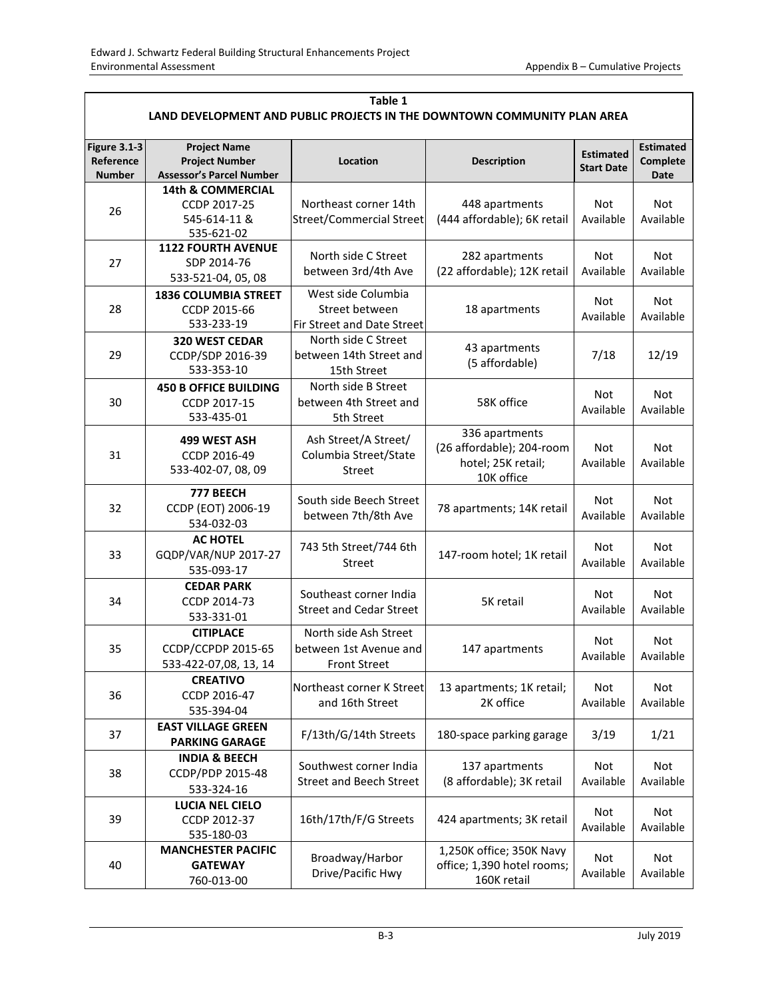| Table 1<br>LAND DEVELOPMENT AND PUBLIC PROJECTS IN THE DOWNTOWN COMMUNITY PLAN AREA |                                                                                 |                                                                        |                                                                                 |                         |                                             |  |  |
|-------------------------------------------------------------------------------------|---------------------------------------------------------------------------------|------------------------------------------------------------------------|---------------------------------------------------------------------------------|-------------------------|---------------------------------------------|--|--|
| <b>Figure 3.1-3</b><br>Reference<br>Number                                          | <b>Project Name</b><br><b>Project Number</b><br><b>Assessor's Parcel Number</b> | Location                                                               | <b>Description</b>                                                              |                         | <b>Estimated</b><br>Complete<br><b>Date</b> |  |  |
| 26                                                                                  | <b>14th &amp; COMMERCIAL</b><br>CCDP 2017-25<br>545-614-11 &<br>535-621-02      | Northeast corner 14th<br><b>Street/Commercial Street</b>               | <b>Not</b><br>448 apartments<br>(444 affordable); 6K retail<br>Available        |                         | <b>Not</b><br>Available                     |  |  |
| 27                                                                                  | <b>1122 FOURTH AVENUE</b><br>SDP 2014-76<br>533-521-04, 05, 08                  | North side C Street<br>between 3rd/4th Ave                             | 282 apartments<br>(22 affordable); 12K retail                                   | Not<br>Available        | Not<br>Available                            |  |  |
| 28                                                                                  | <b>1836 COLUMBIA STREET</b><br>CCDP 2015-66<br>533-233-19                       | West side Columbia<br>Street between<br>Fir Street and Date Street     | 18 apartments                                                                   | Not<br>Available        | Not<br>Available                            |  |  |
| 29                                                                                  | 320 WEST CEDAR<br>CCDP/SDP 2016-39<br>533-353-10                                | North side C Street<br>between 14th Street and<br>15th Street          | 43 apartments<br>(5 affordable)                                                 | 7/18                    | 12/19                                       |  |  |
| 30                                                                                  | <b>450 B OFFICE BUILDING</b><br>CCDP 2017-15<br>533-435-01                      | North side B Street<br>between 4th Street and<br>5th Street            | 58K office                                                                      | Not<br>Available        | Not<br>Available                            |  |  |
| 31                                                                                  | 499 WEST ASH<br>CCDP 2016-49<br>533-402-07, 08, 09                              | Ash Street/A Street/<br>Columbia Street/State<br><b>Street</b>         | 336 apartments<br>(26 affordable); 204-room<br>hotel; 25K retail;<br>10K office | Not<br>Available        | Not<br>Available                            |  |  |
| 32                                                                                  | 777 BEECH<br>CCDP (EOT) 2006-19<br>534-032-03                                   | South side Beech Street<br>between 7th/8th Ave                         | 78 apartments; 14K retail                                                       | Not<br>Available        | Not<br>Available                            |  |  |
| 33                                                                                  | <b>AC HOTEL</b><br>GQDP/VAR/NUP 2017-27<br>535-093-17                           | 743 5th Street/744 6th<br>Street                                       | 147-room hotel; 1K retail                                                       | Not<br>Available        | <b>Not</b><br>Available                     |  |  |
| 34                                                                                  | <b>CEDAR PARK</b><br>CCDP 2014-73<br>533-331-01                                 | Southeast corner India<br><b>Street and Cedar Street</b>               | 5K retail                                                                       | <b>Not</b><br>Available | <b>Not</b><br>Available                     |  |  |
| 35                                                                                  | <b>CITIPLACE</b><br>CCDP/CCPDP 2015-65<br>533-422-07,08, 13, 14                 | North side Ash Street<br>between 1st Avenue and<br><b>Front Street</b> | 147 apartments                                                                  | Not<br>Available        | Not<br>Available                            |  |  |
| 36                                                                                  | <b>CREATIVO</b><br>CCDP 2016-47<br>535-394-04                                   | Northeast corner K Street<br>and 16th Street                           | 13 apartments; 1K retail;<br>Not<br>2K office<br>Available                      |                         | Not<br>Available                            |  |  |
| 37                                                                                  | <b>EAST VILLAGE GREEN</b><br><b>PARKING GARAGE</b>                              | F/13th/G/14th Streets                                                  | 180-space parking garage<br>3/19                                                |                         | 1/21                                        |  |  |
| 38                                                                                  | <b>INDIA &amp; BEECH</b><br>CCDP/PDP 2015-48<br>533-324-16                      | Southwest corner India<br><b>Street and Beech Street</b>               | 137 apartments<br>(8 affordable); 3K retail                                     | Not<br>Available        | Not<br>Available                            |  |  |
| 39                                                                                  | <b>LUCIA NEL CIELO</b><br>CCDP 2012-37<br>535-180-03                            | 16th/17th/F/G Streets                                                  | 424 apartments; 3K retail                                                       | Not<br>Available        | Not<br>Available                            |  |  |
| 40                                                                                  | <b>MANCHESTER PACIFIC</b><br><b>GATEWAY</b><br>760-013-00                       | Broadway/Harbor<br>Drive/Pacific Hwy                                   | 1,250K office; 350K Navy<br>office; 1,390 hotel rooms;<br>160K retail           | Not<br>Available        | Not<br>Available                            |  |  |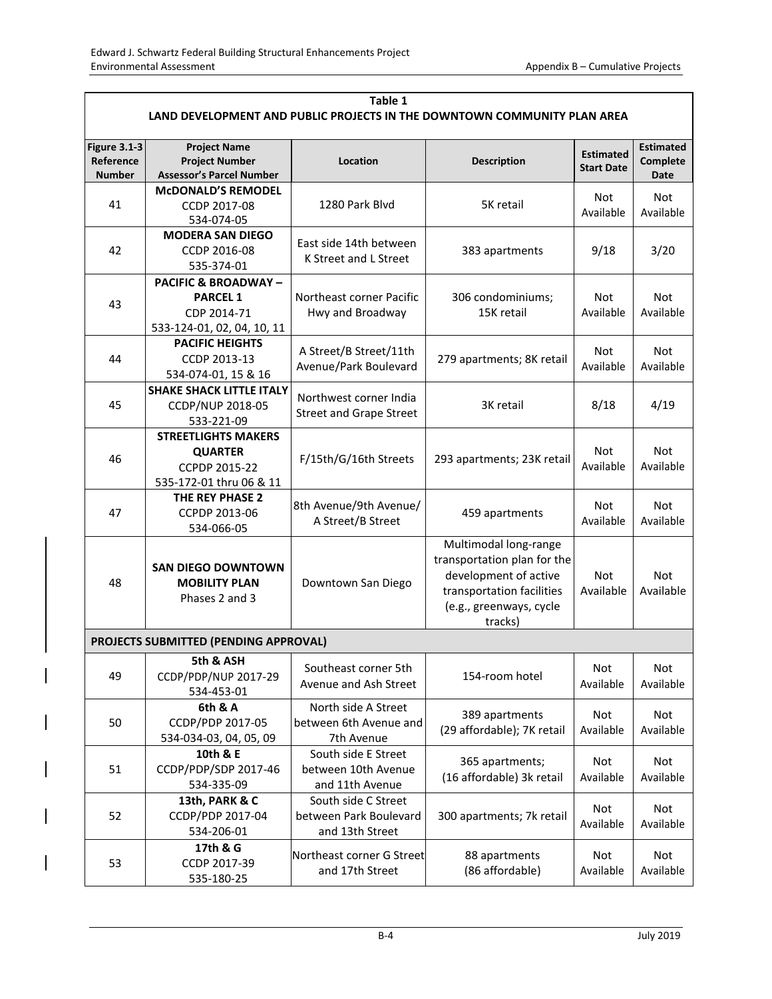| Table 1<br>LAND DEVELOPMENT AND PUBLIC PROJECTS IN THE DOWNTOWN COMMUNITY PLAN AREA |                                                                                                |                                                                  |                                                                                                                                                  |                         |                                      |  |  |
|-------------------------------------------------------------------------------------|------------------------------------------------------------------------------------------------|------------------------------------------------------------------|--------------------------------------------------------------------------------------------------------------------------------------------------|-------------------------|--------------------------------------|--|--|
| <b>Figure 3.1-3</b><br>Reference<br><b>Number</b>                                   | <b>Project Name</b><br><b>Project Number</b><br><b>Assessor's Parcel Number</b>                | Location                                                         | <b>Description</b>                                                                                                                               |                         | <b>Estimated</b><br>Complete<br>Date |  |  |
| 41                                                                                  | <b>MCDONALD'S REMODEL</b><br>CCDP 2017-08<br>534-074-05                                        | 1280 Park Blyd                                                   | 5K retail                                                                                                                                        | Not<br>Available        | Not<br>Available                     |  |  |
| 42                                                                                  | <b>MODERA SAN DIEGO</b><br>CCDP 2016-08<br>535-374-01                                          | East side 14th between<br>K Street and L Street                  | 383 apartments                                                                                                                                   | 9/18                    | 3/20                                 |  |  |
| 43                                                                                  | <b>PACIFIC &amp; BROADWAY-</b><br><b>PARCEL 1</b><br>CDP 2014-71<br>533-124-01, 02, 04, 10, 11 | Northeast corner Pacific<br>Hwy and Broadway                     | 306 condominiums;<br>15K retail                                                                                                                  | Not<br>Available        | <b>Not</b><br>Available              |  |  |
| 44                                                                                  | <b>PACIFIC HEIGHTS</b><br>CCDP 2013-13<br>534-074-01, 15 & 16                                  | A Street/B Street/11th<br>Avenue/Park Boulevard                  | 279 apartments; 8K retail                                                                                                                        | <b>Not</b><br>Available | <b>Not</b><br>Available              |  |  |
| 45                                                                                  | <b>SHAKE SHACK LITTLE ITALY</b><br>CCDP/NUP 2018-05<br>533-221-09                              | Northwest corner India<br><b>Street and Grape Street</b>         | 3K retail                                                                                                                                        |                         | 4/19                                 |  |  |
| 46                                                                                  | <b>STREETLIGHTS MAKERS</b><br><b>QUARTER</b><br>CCPDP 2015-22<br>535-172-01 thru 06 & 11       | F/15th/G/16th Streets                                            | 293 apartments; 23K retail                                                                                                                       | Not<br>Available        | <b>Not</b><br>Available              |  |  |
| 47                                                                                  | THE REY PHASE 2<br>CCPDP 2013-06<br>534-066-05                                                 | 8th Avenue/9th Avenue/<br>A Street/B Street                      | 459 apartments                                                                                                                                   | <b>Not</b><br>Available | <b>Not</b><br>Available              |  |  |
| 48                                                                                  | <b>SAN DIEGO DOWNTOWN</b><br><b>MOBILITY PLAN</b><br>Phases 2 and 3                            | Downtown San Diego                                               | Multimodal long-range<br>transportation plan for the<br>development of active<br>transportation facilities<br>(e.g., greenways, cycle<br>tracks) | Not<br>Available        | Not<br>Available                     |  |  |
|                                                                                     | PROJECTS SUBMITTED (PENDING APPROVAL)                                                          |                                                                  |                                                                                                                                                  |                         |                                      |  |  |
| 49                                                                                  | 5th & ASH<br>CCDP/PDP/NUP 2017-29<br>534-453-01                                                | Southeast corner 5th<br>Avenue and Ash Street                    | 154-room hotel                                                                                                                                   | Not<br>Available        | Not<br>Available                     |  |  |
| 50                                                                                  | 6th & A<br>CCDP/PDP 2017-05<br>534-034-03, 04, 05, 09                                          | North side A Street<br>between 6th Avenue and<br>7th Avenue      | 389 apartments<br>(29 affordable); 7K retail                                                                                                     | Not<br>Available        | Not<br>Available                     |  |  |
| 51                                                                                  | 10th & E<br>CCDP/PDP/SDP 2017-46<br>534-335-09                                                 | South side E Street<br>between 10th Avenue<br>and 11th Avenue    | 365 apartments;<br>(16 affordable) 3k retail                                                                                                     | Not<br>Available        | Not<br>Available                     |  |  |
| 52                                                                                  | 13th, PARK & C<br>CCDP/PDP 2017-04<br>534-206-01                                               | South side C Street<br>between Park Boulevard<br>and 13th Street | 300 apartments; 7k retail                                                                                                                        | Not<br>Available        | Not<br>Available                     |  |  |
| 53                                                                                  | 17th & G<br>CCDP 2017-39<br>535-180-25                                                         | Northeast corner G Street<br>and 17th Street                     | 88 apartments<br>(86 affordable)                                                                                                                 | Not<br>Available        | Not<br>Available                     |  |  |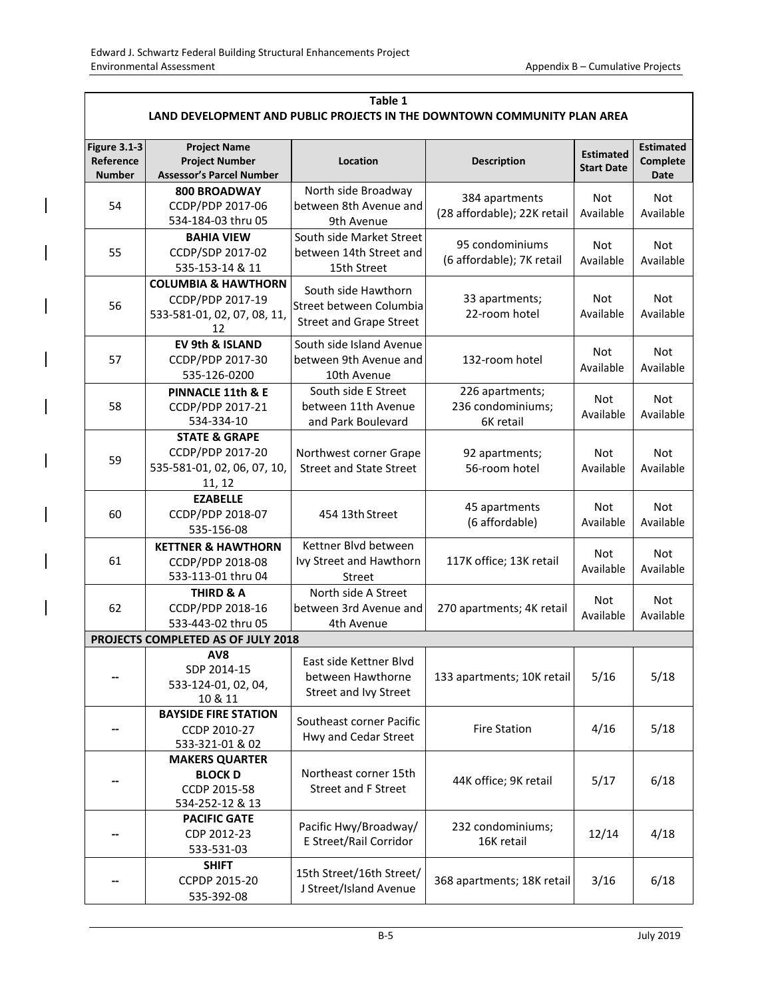| Table 1                                                                  |                                              |                                                                                             |                             |                                       |                              |  |  |  |
|--------------------------------------------------------------------------|----------------------------------------------|---------------------------------------------------------------------------------------------|-----------------------------|---------------------------------------|------------------------------|--|--|--|
| LAND DEVELOPMENT AND PUBLIC PROJECTS IN THE DOWNTOWN COMMUNITY PLAN AREA |                                              |                                                                                             |                             |                                       |                              |  |  |  |
| <b>Figure 3.1-3</b><br>Reference                                         | <b>Project Name</b><br><b>Project Number</b> | Location                                                                                    | <b>Description</b>          | <b>Estimated</b><br><b>Start Date</b> | <b>Estimated</b><br>Complete |  |  |  |
| <b>Number</b>                                                            | <b>Assessor's Parcel Number</b>              |                                                                                             |                             |                                       | Date                         |  |  |  |
|                                                                          | 800 BROADWAY                                 | North side Broadway                                                                         | 384 apartments              | Not                                   | Not                          |  |  |  |
| 54                                                                       | CCDP/PDP 2017-06                             | between 8th Avenue and                                                                      | (28 affordable); 22K retail | Available                             | Available                    |  |  |  |
|                                                                          | 534-184-03 thru 05                           | 9th Avenue                                                                                  |                             |                                       |                              |  |  |  |
|                                                                          | <b>BAHIA VIEW</b>                            | South side Market Street                                                                    | 95 condominiums             | <b>Not</b>                            |                              |  |  |  |
| 55                                                                       | CCDP/SDP 2017-02                             | between 14th Street and                                                                     |                             |                                       | Not                          |  |  |  |
|                                                                          | 535-153-14 & 11                              | 15th Street                                                                                 | (6 affordable); 7K retail   | Available                             | Available                    |  |  |  |
|                                                                          | <b>COLUMBIA &amp; HAWTHORN</b>               |                                                                                             |                             |                                       |                              |  |  |  |
|                                                                          | CCDP/PDP 2017-19                             | South side Hawthorn                                                                         | 33 apartments;              | Not                                   | <b>Not</b>                   |  |  |  |
| 56                                                                       | 533-581-01, 02, 07, 08, 11,                  | Street between Columbia                                                                     | 22-room hotel               | Available                             | Available                    |  |  |  |
|                                                                          | 12                                           | <b>Street and Grape Street</b>                                                              |                             |                                       |                              |  |  |  |
|                                                                          | EV 9th & ISLAND                              | South side Island Avenue                                                                    |                             | <b>Not</b>                            |                              |  |  |  |
| 57                                                                       | CCDP/PDP 2017-30                             | between 9th Avenue and                                                                      | 132-room hotel              | Available                             | <b>Not</b><br>Available      |  |  |  |
|                                                                          | 535-126-0200                                 | 10th Avenue                                                                                 |                             |                                       |                              |  |  |  |
|                                                                          | PINNACLE 11th & E                            | South side E Street                                                                         | 226 apartments;             |                                       | <b>Not</b>                   |  |  |  |
| 58                                                                       | CCDP/PDP 2017-21                             | between 11th Avenue                                                                         | 236 condominiums;           | Not<br>Available                      |                              |  |  |  |
|                                                                          | 534-334-10                                   | and Park Boulevard                                                                          | 6K retail                   |                                       | Available                    |  |  |  |
|                                                                          | <b>STATE &amp; GRAPE</b>                     |                                                                                             |                             |                                       |                              |  |  |  |
| 59                                                                       | CCDP/PDP 2017-20                             | Northwest corner Grape<br>92 apartments;<br><b>Street and State Street</b><br>56-room hotel |                             | Not<br>Available                      | Not<br>Available             |  |  |  |
|                                                                          | 535-581-01, 02, 06, 07, 10,                  |                                                                                             |                             |                                       |                              |  |  |  |
|                                                                          | 11, 12                                       |                                                                                             |                             |                                       |                              |  |  |  |
|                                                                          | <b>EZABELLE</b>                              | 454 13th Street                                                                             | 45 apartments               | Not                                   |                              |  |  |  |
| 60                                                                       | CCDP/PDP 2018-07                             |                                                                                             |                             |                                       | <b>Not</b>                   |  |  |  |
|                                                                          | 535-156-08                                   |                                                                                             | (6 affordable)              | Available                             | Available                    |  |  |  |
|                                                                          | <b>KETTNER &amp; HAWTHORN</b>                | Kettner Blvd between                                                                        |                             |                                       |                              |  |  |  |
| 61                                                                       | CCDP/PDP 2018-08                             | Ivy Street and Hawthorn                                                                     | 117K office; 13K retail     | Not<br>Available                      | Not                          |  |  |  |
|                                                                          | 533-113-01 thru 04                           | Street                                                                                      |                             |                                       | Available                    |  |  |  |
|                                                                          | <b>THIRD &amp; A</b>                         | North side A Street                                                                         |                             | Not                                   | Not                          |  |  |  |
| 62                                                                       | CCDP/PDP 2018-16                             | between 3rd Avenue and                                                                      | 270 apartments; 4K retail   |                                       |                              |  |  |  |
|                                                                          | 533-443-02 thru 05                           | 4th Avenue                                                                                  |                             | Available                             | Available                    |  |  |  |
|                                                                          | PROJECTS COMPLETED AS OF JULY 2018           |                                                                                             |                             |                                       |                              |  |  |  |
|                                                                          | AV <sub>8</sub>                              |                                                                                             |                             |                                       |                              |  |  |  |
|                                                                          | SDP 2014-15                                  | East side Kettner Blvd                                                                      |                             | 5/16                                  |                              |  |  |  |
|                                                                          | 533-124-01, 02, 04,                          | between Hawthorne                                                                           | 133 apartments; 10K retail  |                                       | 5/18                         |  |  |  |
|                                                                          | 10 & 11                                      | Street and Ivy Street                                                                       |                             |                                       |                              |  |  |  |
|                                                                          | <b>BAYSIDE FIRE STATION</b>                  | Southeast corner Pacific                                                                    |                             |                                       |                              |  |  |  |
|                                                                          | CCDP 2010-27                                 | Hwy and Cedar Street                                                                        | <b>Fire Station</b>         | 4/16                                  | 5/18                         |  |  |  |
|                                                                          | 533-321-01 & 02                              |                                                                                             |                             |                                       |                              |  |  |  |
|                                                                          | <b>MAKERS QUARTER</b>                        |                                                                                             | 44K office; 9K retail       | 5/17                                  | 6/18                         |  |  |  |
|                                                                          | <b>BLOCK D</b>                               | Northeast corner 15th                                                                       |                             |                                       |                              |  |  |  |
|                                                                          | CCDP 2015-58                                 | <b>Street and F Street</b>                                                                  |                             |                                       |                              |  |  |  |
|                                                                          | 534-252-12 & 13                              |                                                                                             |                             |                                       |                              |  |  |  |
|                                                                          | <b>PACIFIC GATE</b>                          | Pacific Hwy/Broadway/                                                                       | 232 condominiums;           |                                       |                              |  |  |  |
|                                                                          | CDP 2012-23                                  | E Street/Rail Corridor                                                                      | 16K retail                  | 12/14                                 | 4/18                         |  |  |  |
|                                                                          | 533-531-03                                   |                                                                                             |                             |                                       |                              |  |  |  |
|                                                                          | <b>SHIFT</b>                                 | 15th Street/16th Street/                                                                    |                             | 3/16                                  | 6/18                         |  |  |  |
|                                                                          | CCPDP 2015-20                                | J Street/Island Avenue                                                                      | 368 apartments; 18K retail  |                                       |                              |  |  |  |
|                                                                          | 535-392-08                                   |                                                                                             |                             |                                       |                              |  |  |  |